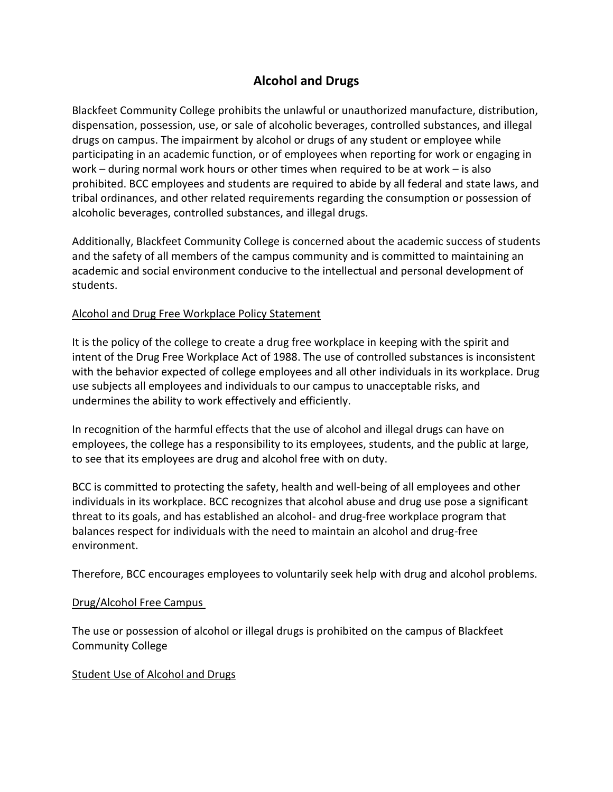## **Alcohol and Drugs**

Blackfeet Community College prohibits the unlawful or unauthorized manufacture, distribution, dispensation, possession, use, or sale of alcoholic beverages, controlled substances, and illegal drugs on campus. The impairment by alcohol or drugs of any student or employee while participating in an academic function, or of employees when reporting for work or engaging in work – during normal work hours or other times when required to be at work – is also prohibited. BCC employees and students are required to abide by all federal and state laws, and tribal ordinances, and other related requirements regarding the consumption or possession of alcoholic beverages, controlled substances, and illegal drugs.

Additionally, Blackfeet Community College is concerned about the academic success of students and the safety of all members of the campus community and is committed to maintaining an academic and social environment conducive to the intellectual and personal development of students.

## Alcohol and Drug Free Workplace Policy Statement

It is the policy of the college to create a drug free workplace in keeping with the spirit and intent of the Drug Free Workplace Act of 1988. The use of controlled substances is inconsistent with the behavior expected of college employees and all other individuals in its workplace. Drug use subjects all employees and individuals to our campus to unacceptable risks, and undermines the ability to work effectively and efficiently.

In recognition of the harmful effects that the use of alcohol and illegal drugs can have on employees, the college has a responsibility to its employees, students, and the public at large, to see that its employees are drug and alcohol free with on duty.

BCC is committed to protecting the safety, health and well-being of all employees and other individuals in its workplace. BCC recognizes that alcohol abuse and drug use pose a significant threat to its goals, and has established an alcohol- and drug-free workplace program that balances respect for individuals with the need to maintain an alcohol and drug-free environment.

Therefore, BCC encourages employees to voluntarily seek help with drug and alcohol problems.

## Drug/Alcohol Free Campus

The use or possession of alcohol or illegal drugs is prohibited on the campus of Blackfeet Community College

## Student Use of Alcohol and Drugs